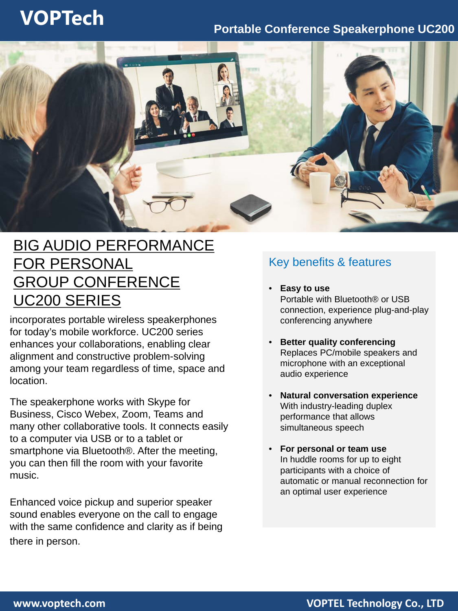# **VOPTech Portable Conference Speakerphone UC200**



## BIG AUDIO PERFORMANCE FOR PERSONAL GROUP CONFERENCE UC200 SERIES

incorporates portable wireless speakerphones for today's mobile workforce. UC200 series enhances your collaborations, enabling clear alignment and constructive problem-solving among your team regardless of time, space and location.

The speakerphone works with Skype for Business, Cisco Webex, Zoom, Teams and many other collaborative tools. It connects easily to a computer via USB or to a tablet or smartphone via Bluetooth®. After the meeting, you can then fill the room with your favorite music.

Enhanced voice pickup and superior speaker sound enables everyone on the call to engage with the same confidence and clarity as if being there in person.

### Key benefits & features

- **Easy to use** Portable with Bluetooth® or USB connection, experience plug-and-play conferencing anywhere
- **Better quality conferencing** Replaces PC/mobile speakers and microphone with an exceptional audio experience
- **Natural conversation experience** With industry-leading duplex performance that allows simultaneous speech
- **For personal or team use** In huddle rooms for up to eight participants with a choice of automatic or manual reconnection for an optimal user experience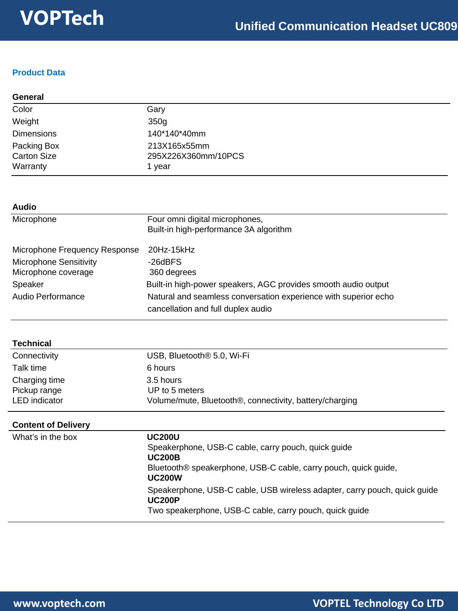### **Product Data**

| General                                       |                                               |  |
|-----------------------------------------------|-----------------------------------------------|--|
| Color                                         | Gary                                          |  |
| Weight                                        | 350g                                          |  |
| <b>Dimensions</b>                             | 140*140*40mm                                  |  |
| Packing Box<br><b>Carton Size</b><br>Warranty | 213X165x55mm<br>295X226X360mm/10PCS<br>1 year |  |

| <b>Audio</b>                  |                                                                 |  |  |
|-------------------------------|-----------------------------------------------------------------|--|--|
| Microphone                    | Four omni digital microphones,                                  |  |  |
|                               | Built-in high-performance 3A algorithm                          |  |  |
| Microphone Frequency Response | $20Hz-15kHz$                                                    |  |  |
| <b>Microphone Sensitivity</b> | -26dBFS                                                         |  |  |
| Microphone coverage           | 360 degrees                                                     |  |  |
| Speaker                       | Built-in high-power speakers, AGC provides smooth audio output  |  |  |
| Audio Performance             | Natural and seamless conversation experience with superior echo |  |  |
|                               | cancellation and full duplex audio                              |  |  |

| <b>Technical</b> |                                                                      |
|------------------|----------------------------------------------------------------------|
| Connectivity     | USB, Bluetooth <sup>®</sup> 5.0, Wi-Fi                               |
| Talk time        | 6 hours                                                              |
| Charging time    | 3.5 hours                                                            |
| Pickup range     | UP to 5 meters                                                       |
| LED indicator    | Volume/mute, Bluetooth <sup>®</sup> , connectivity, battery/charging |

| <b>Content of Delivery</b> |                                                                                                                                                                           |  |
|----------------------------|---------------------------------------------------------------------------------------------------------------------------------------------------------------------------|--|
| What's in the box          | <b>UC200U</b><br>Speakerphone, USB-C cable, carry pouch, quick guide<br><b>UC200B</b><br>Bluetooth® speakerphone, USB-C cable, carry pouch, quick guide,<br><b>UC200W</b> |  |
|                            | Speakerphone, USB-C cable, USB wireless adapter, carry pouch, quick guide<br><b>UC200P</b><br>Two speakerphone, USB-C cable, carry pouch, quick guide                     |  |